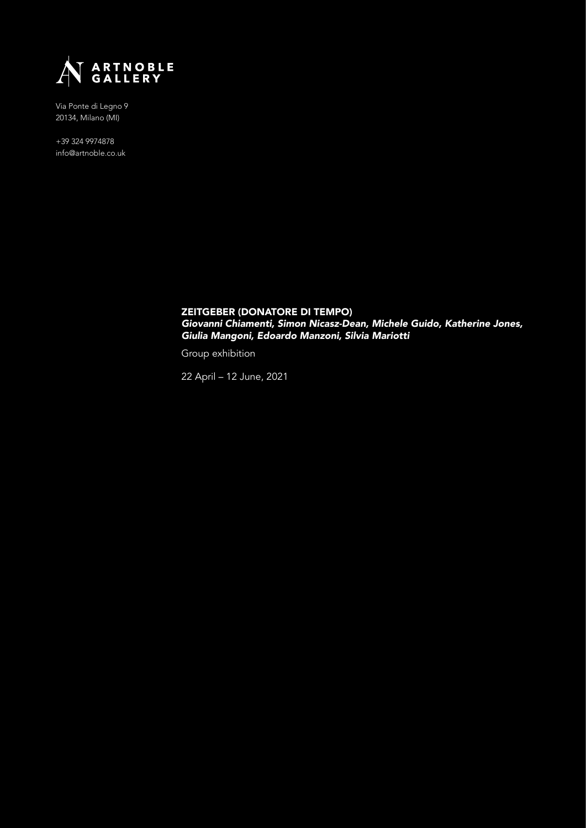

+39 324 9974878 info@artnoble.co.uk

> ZEITGEBER (DONATORE DI TEMPO) Giovanni Chiamenti, Simon Nicasz-Dean, Michele Guido, Katherine Jones, Giulia Mangoni, Edoardo Manzoni, Silvia Mariotti

Group exhibition

22 April – 12 June, 2021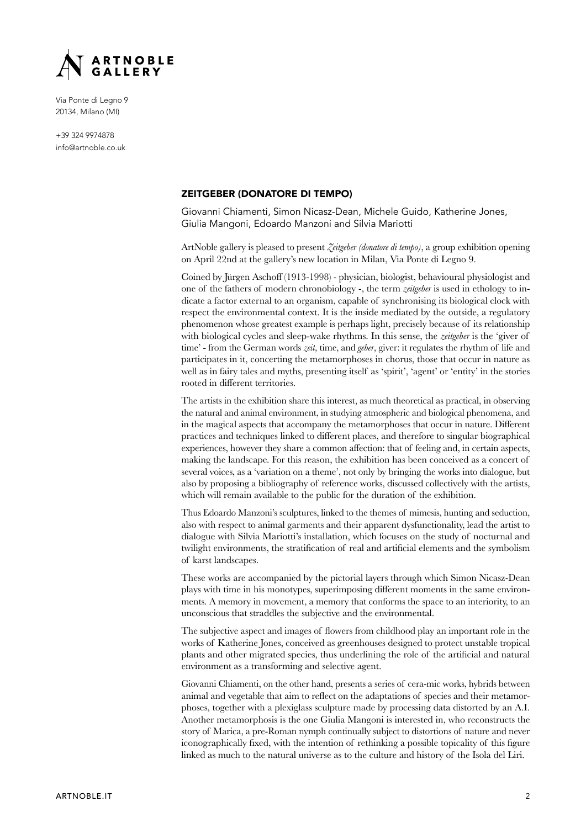

+39 324 9974878 info@artnoble.co.uk

# ZEITGEBER (DONATORE DI TEMPO)

Giovanni Chiamenti, Simon Nicasz-Dean, Michele Guido, Katherine Jones, Giulia Mangoni, Edoardo Manzoni and Silvia Mariotti

ArtNoble gallery is pleased to present *Zeitgeber (donatore di tempo)*, a group exhibition opening on April 22nd at the gallery's new location in Milan, Via Ponte di Legno 9.

Coined by Jürgen Aschoff (1913-1998) - physician, biologist, behavioural physiologist and one of the fathers of modern chronobiology -, the term *zeitgeber* is used in ethology to indicate a factor external to an organism, capable of synchronising its biological clock with respect the environmental context. It is the inside mediated by the outside, a regulatory phenomenon whose greatest example is perhaps light, precisely because of its relationship with biological cycles and sleep-wake rhythms. In this sense, the *zeitgeber* is the 'giver of  $\lim e^t$  - from the German words *zeit*, time, and *geber*, giver: it regulates the rhythm of life and participates in it, concerting the metamorphoses in chorus, those that occur in nature as well as in fairy tales and myths, presenting itself as 'spirit', 'agent' or 'entity' in the stories rooted in different territories.

The artists in the exhibition share this interest, as much theoretical as practical, in observing the natural and animal environment, in studying atmospheric and biological phenomena, and in the magical aspects that accompany the metamorphoses that occur in nature. Different practices and techniques linked to different places, and therefore to singular biographical experiences, however they share a common affection: that of feeling and, in certain aspects, making the landscape. For this reason, the exhibition has been conceived as a concert of several voices, as a 'variation on a theme', not only by bringing the works into dialogue, but also by proposing a bibliography of reference works, discussed collectively with the artists, which will remain available to the public for the duration of the exhibition.

Thus Edoardo Manzoni's sculptures, linked to the themes of mimesis, hunting and seduction, also with respect to animal garments and their apparent dysfunctionality, lead the artist to dialogue with Silvia Mariotti's installation, which focuses on the study of nocturnal and twilight environments, the stratification of real and artificial elements and the symbolism of karst landscapes.

These works are accompanied by the pictorial layers through which Simon Nicasz-Dean plays with time in his monotypes, superimposing different moments in the same environments. A memory in movement, a memory that conforms the space to an interiority, to an unconscious that straddles the subjective and the environmental.

The subjective aspect and images of flowers from childhood play an important role in the works of Katherine Jones, conceived as greenhouses designed to protect unstable tropical plants and other migrated species, thus underlining the role of the artificial and natural environment as a transforming and selective agent.

Giovanni Chiamenti, on the other hand, presents a series of cera-mic works, hybrids between animal and vegetable that aim to reflect on the adaptations of species and their metamorphoses, together with a plexiglass sculpture made by processing data distorted by an A.I. Another metamorphosis is the one Giulia Mangoni is interested in, who reconstructs the story of Marica, a pre-Roman nymph continually subject to distortions of nature and never iconographically fixed, with the intention of rethinking a possible topicality of this figure linked as much to the natural universe as to the culture and history of the Isola del Liri.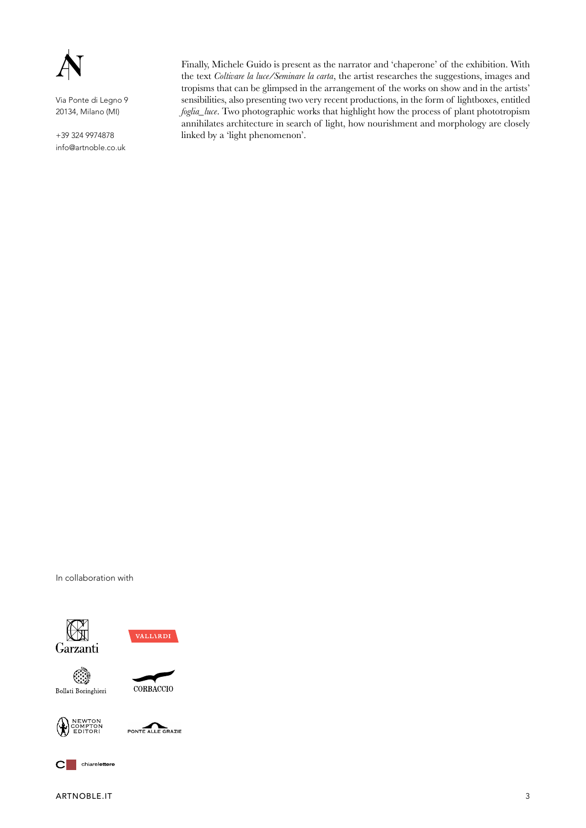

+39 324 9974878 info@artnoble.co.uk

Finally, Michele Guido is present as the narrator and 'chaperone' of the exhibition. With the text *Coltivare la luce/Seminare la carta*, the artist researches the suggestions, images and tropisms that can be glimpsed in the arrangement of the works on show and in the artists' sensibilities, also presenting two very recent productions, in the form of lightboxes, entitled *foglia\_luce*. Two photographic works that highlight how the process of plant phototropism annihilates architecture in search of light, how nourishment and morphology are closely linked by a 'light phenomenon'.







CORBACCIO





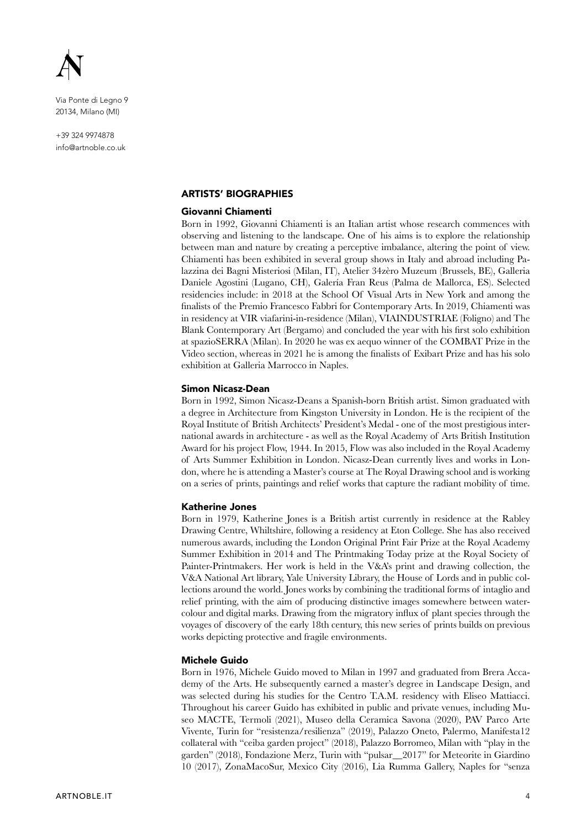

+39 324 9974878 info@artnoble.co.uk

## ARTISTS' BIOGRAPHIES

### Giovanni Chiamenti

Born in 1992, Giovanni Chiamenti is an Italian artist whose research commences with observing and listening to the landscape. One of his aims is to explore the relationship between man and nature by creating a perceptive imbalance, altering the point of view. Chiamenti has been exhibited in several group shows in Italy and abroad including Palazzina dei Bagni Misteriosi (Milan, IT), Atelier 34zèro Muzeum (Brussels, BE), Galleria Daniele Agostini (Lugano, CH), Galería Fran Reus (Palma de Mallorca, ES). Selected residencies include: in 2018 at the School Of Visual Arts in New York and among the finalists of the Premio Francesco Fabbri for Contemporary Arts. In 2019, Chiamenti was in residency at VIR viafarini-in-residence (Milan), VIAINDUSTRIAE (Foligno) and The Blank Contemporary Art (Bergamo) and concluded the year with his first solo exhibition at spazioSERRA (Milan). In 2020 he was ex aequo winner of the COMBAT Prize in the Video section, whereas in 2021 he is among the finalists of Exibart Prize and has his solo exhibition at Galleria Marrocco in Naples.

### Simon Nicasz-Dean

Born in 1992, Simon Nicasz-Deans a Spanish-born British artist. Simon graduated with a degree in Architecture from Kingston University in London. He is the recipient of the Royal Institute of British Architects' President's Medal - one of the most prestigious international awards in architecture - as well as the Royal Academy of Arts British Institution Award for his project Flow, 1944. In 2015, Flow was also included in the Royal Academy of Arts Summer Exhibition in London. Nicasz-Dean currently lives and works in London, where he is attending a Master's course at The Royal Drawing school and is working on a series of prints, paintings and relief works that capture the radiant mobility of time.

### Katherine Jones

Born in 1979, Katherine Jones is a British artist currently in residence at the Rabley Drawing Centre, Whiltshire, following a residency at Eton College. She has also received numerous awards, including the London Original Print Fair Prize at the Royal Academy Summer Exhibition in 2014 and The Printmaking Today prize at the Royal Society of Painter-Printmakers. Her work is held in the V&A's print and drawing collection, the V&A National Art library, Yale University Library, the House of Lords and in public collections around the world. Jones works by combining the traditional forms of intaglio and relief printing, with the aim of producing distinctive images somewhere between watercolour and digital marks. Drawing from the migratory influx of plant species through the voyages of discovery of the early 18th century, this new series of prints builds on previous works depicting protective and fragile environments.

## Michele Guido

Born in 1976, Michele Guido moved to Milan in 1997 and graduated from Brera Accademy of the Arts. He subsequently earned a master's degree in Landscape Design, and was selected during his studies for the Centro T.A.M. residency with Eliseo Mattiacci. Throughout his career Guido has exhibited in public and private venues, including Museo MACTE, Termoli (2021), Museo della Ceramica Savona (2020), PAV Parco Arte Vivente, Turin for "resistenza/resilienza" (2019), Palazzo Oneto, Palermo, Manifesta12 collateral with "ceiba garden project"  $(2018)$ , Palazzo Borromeo, Milan with "play in the garden" (2018), Fondazione Merz, Turin with "pulsar\_2017" for Meteorite in Giardino 10 (2017), ZonaMacoSur, Mexico City (2016), Lia Rumma Gallery, Naples for "senza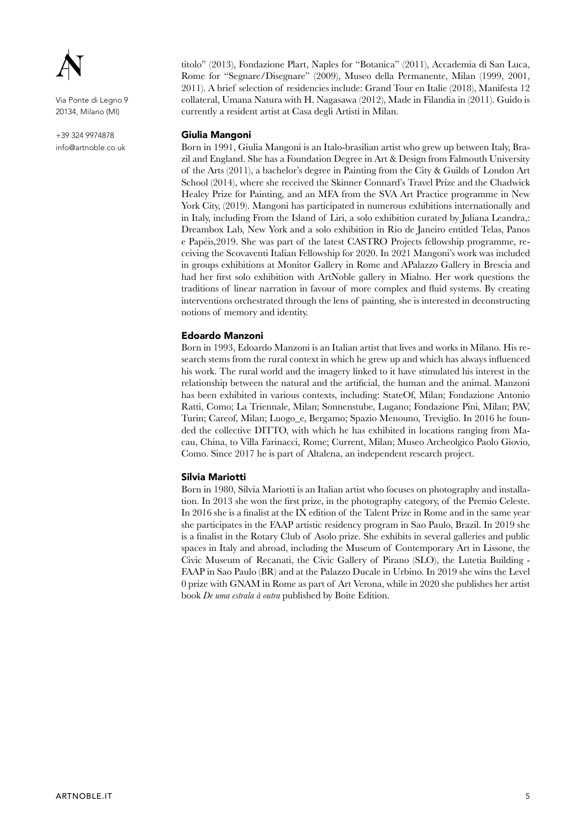

+39 324 9974878 info@artnoble.co.uk titolo" (2013), Fondazione Plart, Naples for "Botanica" (2011), Accademia di San Luca, Rome for "Segnare/Disegnare" (2009), Museo della Permanente, Milan (1999, 2001, 2011). A brief selection of residencies include: Grand Tour en Italie  $(2018)$ , Manifesta 12 collateral, Umana Natura with H. Nagasawa (2012), Made in Filandia in (2011). Guido is currently a resident artist at Casa degli Artisti in Milan.

## Giulia Mangoni

Born in 1991, Giulia Mangoni is an Italo-brasilian artist who grew up between Italy, Brazil and England. She has a Foundation Degree in Art & Design from Falmouth University of the Arts  $(2011)$ , a bachelor's degree in Painting from the City & Guilds of London Art School (2014), where she received the Skinner Connard's Travel Prize and the Chadwick Healey Prize for Painting, and an MFA from the SVA Art Practice programme in New York City, (2019). Mangoni has participated in numerous exhibitions internationally and in Italy, including From the Island of Liri, a solo exhibition curated by Juliana Leandra,: Dreambox Lab, New York and a solo exhibition in Rio de Janeiro entitled Telas, Panos e Papéis, 2019. She was part of the latest CASTRO Projects fellowship programme, receiving the Scovaventi Italian Fellowship for 2020. In 2021 Mangoni's work was included in groups exhibitions at Monitor Gallery in Rome and APalazzo Gallery in Brescia and had her first solo exhibition with ArtNoble gallery in Mialno. Her work questions the traditions of linear narration in favour of more complex and fluid systems. By creating interventions orchestrated through the lens of painting, she is interested in deconstructing notions of memory and identity.

## Edoardo Manzoni

Born in 1993, Edoardo Manzoni is an Italian artist that lives and works in Milano. His research stems from the rural context in which he grew up and which has always influenced his work. The rural world and the imagery linked to it have stimulated his interest in the relationship between the natural and the artificial, the human and the animal. Manzoni has been exhibited in various contexts, including: StateOf, Milan; Fondazione Antonio Ratti, Como; La Triennale, Milan; Sonnenstube, Lugano; Fondazione Pini, Milan; PAV, Turin; Careof, Milan; Luogo\_e, Bergamo; Spazio Menouno, Treviglio. In 2016 he founded the collective DITTO, with which he has exhibited in locations ranging from Macau, China, to Villa Farinacci, Rome; Current, Milan; Museo Archeolgico Paolo Giovio, Como. Since 2017 he is part of Altalena, an independent research project.

### Silvia Mariotti

Born in 1980, Silvia Mariotti is an Italian artist who focuses on photography and installation. In 2013 she won the first prize, in the photography category, of the Premio Celeste. In 2016 she is a finalist at the IX edition of the Talent Prize in Rome and in the same year she participates in the FAAP artistic residency program in Sao Paulo, Brazil. In 2019 she is a finalist in the Rotary Club of Asolo prize. She exhibits in several galleries and public spaces in Italy and abroad, including the Museum of Contemporary Art in Lissone, the Civic Museum of Recanati, the Civic Gallery of Pirano (SLO), the Lutetia Building -FAAP in Sao Paulo (BR) and at the Palazzo Ducale in Urbino. In 2019 she wins the Level  $\Omega$  prize with GNAM in Rome as part of Art Verona, while in 2020 she publishes her artist book *De uma estrala à outra* published by Boite Edition.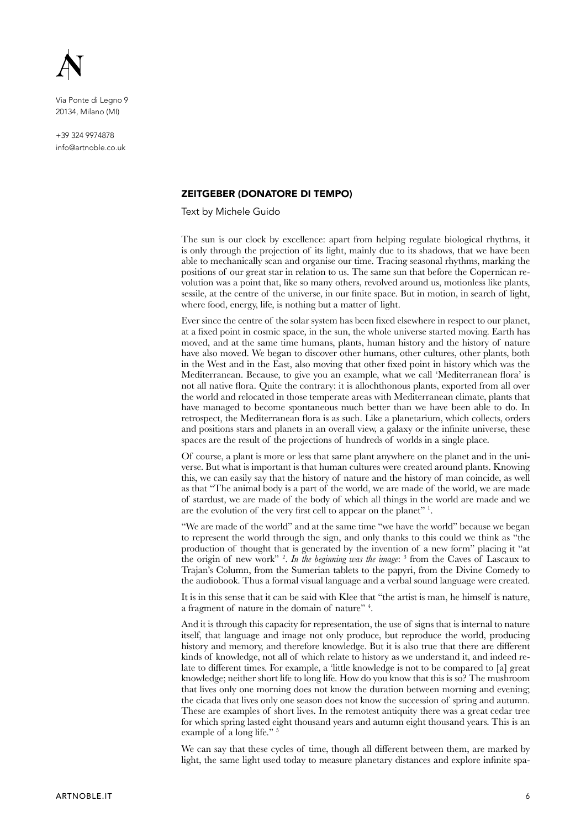

+39 324 9974878 info@artnoble.co.uk

## ZEITGEBER (DONATORE DI TEMPO)

Text by Michele Guido

The sun is our clock by excellence: apart from helping regulate biological rhythms, it is only through the projection of its light, mainly due to its shadows, that we have been able to mechanically scan and organise our time. Tracing seasonal rhythms, marking the positions of our great star in relation to us. The same sun that before the Copernican re volution was a point that, like so many others, revolved around us, motionless like plants, sessile, at the centre of the universe, in our finite space. But in motion, in search of light, where food, energy, life, is nothing but a matter of light.

Ever since the centre of the solar system has been fixed elsewhere in respect to our planet, at a fixed point in cosmic space, in the sun, the whole universe started moving. Earth has moved, and at the same time humans, plants, human history and the history of nature have also moved. We began to discover other humans, other cultures, other plants, both in the West and in the East, also moving that other fixed point in history which was the Mediterranean. Because, to give you an example, what we call 'Mediterranean flora' is not all native flora. Quite the contrary: it is allochthonous plants, exported from all over the world and relocated in those temperate areas with Mediterranean climate, plants that have managed to become spontaneous much better than we have been able to do. In retrospect, the Mediterranean flora is as such. Like a planetarium, which collects, orders and positions stars and planets in an overall view, a galaxy or the infinite universe, these spaces are the result of the projections of hundreds of worlds in a single place.

Of course, a plant is more or less that same plant anywhere on the planet and in the universe. But what is important is that human cultures were created around plants. Knowing this, we can easily say that the history of nature and the history of man coincide, as well as that "The animal body is a part of the world, we are made of the world, we are made of stardust, we are made of the body of which all things in the world are made and we are the evolution of the very first cell to appear on the planet"  $\cdot$ .

"We are made of the world" and at the same time "we have the world" because we began to represent the world through the sign, and only thanks to this could we think as "the production of thought that is generated by the invention of a new form" placing it "at the origin of new work" <sup>2</sup>. In the beginning was the image:  $\frac{3}{3}$  from the Caves of Lascaux to Trajan's Column, from the Sumerian tablets to the papyri, from the Divine Comedy to the audiobook. Thus a formal visual language and a verbal sound language were created.

It is in this sense that it can be said with Klee that "the artist is man, he himself is nature, a fragment of nature in the domain of nature"  $4$ .

And it is through this capacity for representation, the use of signs that is internal to nature itself, that language and image not only produce, but reproduce the world, producing history and memory, and therefore knowledge. But it is also true that there are different kinds of knowledge, not all of which relate to history as we understand it, and indeed re Late to different times. For example, a 'little knowledge is not to be compared to [a] great knowledge; neither short life to long life. How do you know that this is so? The mushroom that lives only one morning does not know the duration between morning and evening; the cicada that lives only one season does not know the succession of spring and autumn. These are examples of short lives. In the remotest antiquity there was a great cedar tree for which spring lasted eight thousand years and autumn eight thousand years. This is an example of a long life."<sup>5</sup>

We can say that these cycles of time, though all different between them, are marked by light, the same light used today to measure planetary distances and explore infinite spa-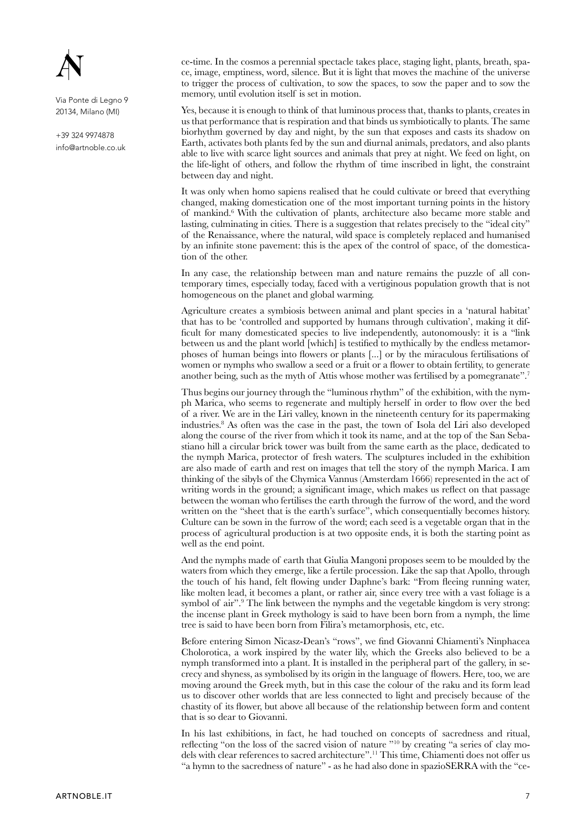

+39 324 9974878 info@artnoble.co.uk  $K$ -time. In the cosmos a perennial spectacle takes place, staging light, plants, breath, space, image, emptiness, word, silence. But it is light that moves the machine of the universe to trigger the process of cultivation, to sow the spaces, to sow the paper and to sow the memory, until evolution itself is set in motion.

Yes, because it is enough to think of that luminous process that, thanks to plants, creates in us that performance that is respiration and that binds us symbiotically to plants. The same biorhythm governed by day and night, by the sun that exposes and casts its shadow on Earth, activates both plants fed by the sun and diurnal animals, predators, and also plants able to live with scarce light sources and animals that prey at night. We feed on light, on the life-light of others, and follow the rhythm of time inscribed in light, the constraint between day and night.

It was only when homo sapiens realised that he could cultivate or breed that everything changed, making domestication one of the most important turning points in the history of mankind.<sup>6</sup> With the cultivation of plants, architecture also became more stable and lasting, culminating in cities. There is a suggestion that relates precisely to the "ideal city" of the Renaissance, where the natural, wild space is completely replaced and humanised by an infinite stone pavement: this is the apex of the control of space, of the domestication of the other.

In any case, the relationship between man and nature remains the puzzle of all contemporary times, especially today, faced with a vertiginous population growth that is not homogeneous on the planet and global warming.

Agriculture creates a symbiosis between animal and plant species in a 'natural habitat' that has to be 'controlled and supported by humans through cultivation', making it difficult for many domesticated species to live independently, autonomously: it is a "link" between us and the plant world [which] is testified to mythically by the endless metamorphoses of human beings into flowers or plants  $[\dots]$  or by the miraculous fertilisations of women or nymphs who swallow a seed or a fruit or a flower to obtain fertility, to generate another being, such as the myth of Attis whose mother was fertilised by a pomegranate".<sup>7</sup>

Thus begins our journey through the "luminous rhythm" of the exhibition, with the nymph Marica, who seems to regenerate and multiply herself in order to flow over the bed of a river. We are in the Liri valley, known in the nineteenth century for its papermaking industries.<sup>8</sup> As often was the case in the past, the town of Isola del Liri also developed along the course of the river from which it took its name, and at the top of the San Sebastiano hill a circular brick tower was built from the same earth as the place, dedicated to the nymph Marica, protector of fresh waters. The sculptures included in the exhibition are also made of earth and rest on images that tell the story of the nymph Marica. I am thinking of the sibyls of the Chymica Vannus (Amsterdam  $1666$ ) represented in the act of writing words in the ground; a significant image, which makes us reflect on that passage between the woman who fertilises the earth through the furrow of the word, and the word written on the "sheet that is the earth's surface", which consequentially becomes history. Culture can be sown in the furrow of the word; each seed is a vegetable organ that in the process of agricultural production is at two opposite ends, it is both the starting point as well as the end point.

And the nymphs made of earth that Giulia Mangoni proposes seem to be moulded by the waters from which they emerge, like a fertile procession. Like the sap that Apollo, through the touch of his hand, felt flowing under Daphne's bark: "From fleeing running water, like molten lead, it becomes a plant, or rather air, since every tree with a vast foliage is a symbol of air".<sup>9</sup> The link between the nymphs and the vegetable kingdom is very strong: the incense plant in Greek mythology is said to have been born from a nymph, the lime tree is said to have been born from Filira's metamorphosis, etc, etc.

Before entering Simon Nicasz-Dean's "rows", we find Giovanni Chiamenti's Ninphacea Cholorotica, a work inspired by the water lily, which the Greeks also believed to be a nymph transformed into a plant. It is installed in the peripheral part of the gallery, in secrecy and shyness, as symbolised by its origin in the language of flowers. Here, too, we are moving around the Greek myth, but in this case the colour of the raku and its form lead us to discover other worlds that are less connected to light and precisely because of the chastity of its flower, but above all because of the relationship between form and content that is so dear to Giovanni.

In his last exhibitions, in fact, he had touched on concepts of sacredness and ritual, reflecting "on the loss of the sacred vision of nature  $\frac{100}{2}$  by creating "a series of clay models with clear references to sacred architecture".<sup>11</sup> This time, Chiamenti does not offer us "a hymn to the sacredness of nature" - as he had also done in spazioSERRA with the "ce-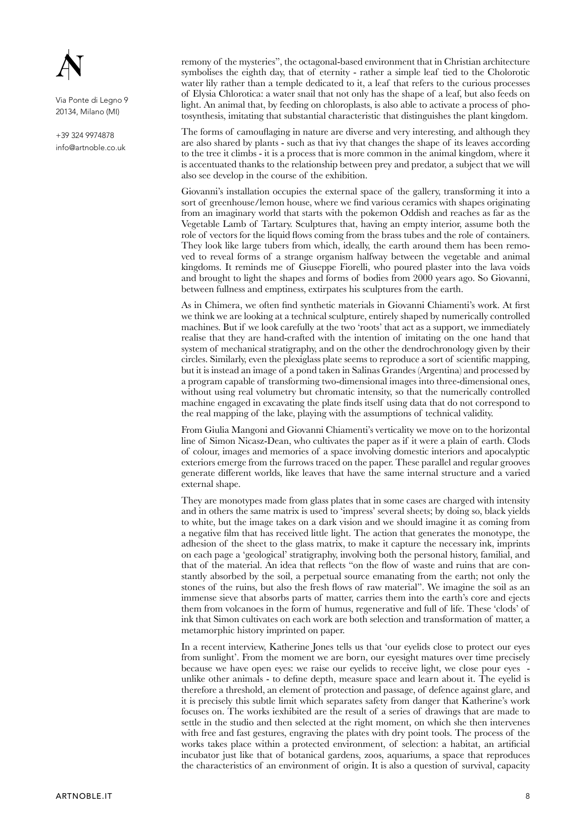

+39 324 9974878 info@artnoble.co.uk remony of the mysteries", the octagonal-based environment that in Christian architecture symbolises the eighth day, that of eternity - rather a simple leaf tied to the Cholorotic water lily rather than a temple dedicated to it, a leaf that refers to the curious processes of Elysia Chlorotica: a water snail that not only has the shape of a leaf, but also feeds on  $I$  light. An animal that, by feeding on chloroplasts, is also able to activate a process of photosynthesis, imitating that substantial characteristic that distinguishes the plant kingdom.

The forms of camouflaging in nature are diverse and very interesting, and although they are also shared by plants - such as that ivy that changes the shape of its leaves according to the tree it climbs - it is a process that is more common in the animal kingdom, where it is accentuated thanks to the relationship between prey and predator, a subject that we will also see develop in the course of the exhibition.

Giovanni's installation occupies the external space of the gallery, transforming it into a sort of greenhouse/lemon house, where we find various ceramics with shapes originating from an imaginary world that starts with the pokemon Oddish and reaches as far as the Vegetable Lamb of Tartary. Sculptures that, having an empty interior, assume both the role of vectors for the liquid flows coming from the brass tubes and the role of containers. They look like large tubers from which, ideally, the earth around them has been remo ved to reveal forms of a strange organism halfway between the vegetable and animal kingdoms. It reminds me of Giuseppe Fiorelli, who poured plaster into the lava voids and brought to light the shapes and forms of bodies from  $2000$  years ago. So Giovanni, between fullness and emptiness, extirpates his sculptures from the earth.

As in Chimera, we often find synthetic materials in Giovanni Chiamenti's work. At first we think we are looking at a technical sculpture, entirely shaped by numerically controlled machines. But if we look carefully at the two 'roots' that act as a support, we immediately realise that they are hand-crafted with the intention of imitating on the one hand that system of mechanical stratigraphy, and on the other the dendrochronology given by their circles. Similarly, even the plexiglass plate seems to reproduce a sort of scientific mapping, but it is instead an image of a pond taken in Salinas Grandes (Argentina) and processed by a program capable of transforming two-dimensional images into three-dimensional ones, without using real volumetry but chromatic intensity, so that the numerically controlled machine engaged in excavating the plate finds itself using data that do not correspond to the real mapping of the lake, playing with the assumptions of technical validity.

From Giulia Mangoni and Giovanni Chiamenti's verticality we move on to the horizontal line of Simon Nicasz-Dean, who cultivates the paper as if it were a plain of earth. Clods of colour, images and memories of a space involving domestic interiors and apocalyptic exteriors emerge from the furrows traced on the paper. These parallel and regular grooves generate different worlds, like leaves that have the same internal structure and a varied external shape.

They are monotypes made from glass plates that in some cases are charged with intensity and in others the same matrix is used to 'impress' several sheets; by doing so, black yields to white, but the image takes on a dark vision and we should imagine it as coming from a negative film that has received little light. The action that generates the monotype, the adhesion of the sheet to the glass matrix, to make it capture the necessary ink, imprints on each page a 'geological' stratigraphy, involving both the personal history, familial, and that of the material. An idea that reflects "on the flow of waste and ruins that are constantly absorbed by the soil, a perpetual source emanating from the earth; not only the stones of the ruins, but also the fresh flows of raw material". We imagine the soil as an immense sieve that absorbs parts of matter, carries them into the earth's core and ejects them from volcanoes in the form of humus, regenerative and full of life. These 'clods' of ink that Simon cultivates on each work are both selection and transformation of matter, a metamorphic history imprinted on paper.

In a recent interview, Katherine Jones tells us that 'our eyelids close to protect our eyes from sunlight'. From the moment we are born, our eyesight matures over time precisely because we have open eyes: we raise our eyelids to receive light, we close pour eyes unlike other animals - to define depth, measure space and learn about it. The evelid is therefore a threshold, an element of protection and passage, of defence against glare, and it is precisely this subtle limit which separates safety from danger that Katherine's work focuses on. The works iexhibited are the result of a series of drawings that are made to settle in the studio and then selected at the right moment, on which she then intervenes with free and fast gestures, engraving the plates with dry point tools. The process of the works takes place within a protected environment, of selection: a habitat, an artificial incubator just like that of botanical gardens, zoos, aquariums, a space that reproduces the characteristics of an environment of origin. It is also a question of survival, capacity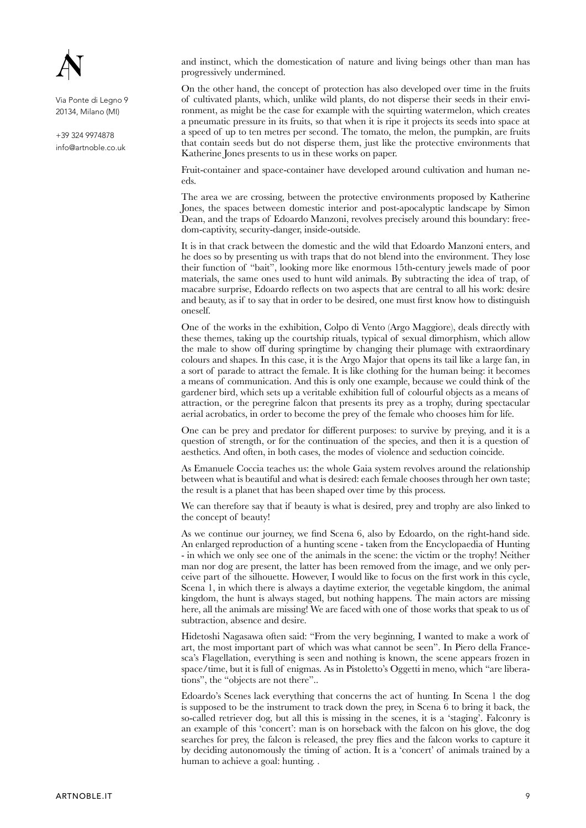

+39 324 9974878 info@artnoble.co.uk and instinct, which the domestication of nature and living beings other than man has progressively undermined.

On the other hand, the concept of protection has also developed over time in the fruits of cultivated plants, which, unlike wild plants, do not disperse their seeds in their environment, as might be the case for example with the squirting watermelon, which creates a pneumatic pressure in its fruits, so that when it is ripe it projects its seeds into space at a speed of up to ten metres per second. The tomato, the melon, the pumpkin, are fruits that contain seeds but do not disperse them, just like the protective environments that Katherine Jones presents to us in these works on paper.

Fruit-container and space-container have developed around cultivation and human needs.

The area we are crossing, between the protective environments proposed by Katherine Jones, the spaces between domestic interior and post-apocalyptic landscape by Simon Dean, and the traps of Edoardo Manzoni, revolves precisely around this boundary: freedom-captivity, security-danger, inside-outside.

It is in that crack between the domestic and the wild that Edoardo Manzoni enters, and he does so by presenting us with traps that do not blend into the environment. They lose their function of "bait", looking more like enormous 15th-century jewels made of poor materials, the same ones used to hunt wild animals. By subtracting the idea of trap, of macabre surprise, Edoardo reflects on two aspects that are central to all his work: desire and beauty, as if to say that in order to be desired, one must first know how to distinguish oneself.

One of the works in the exhibition, Colpo di Vento (Argo Maggiore), deals directly with these themes, taking up the courtship rituals, typical of sexual dimorphism, which allow the male to show off during springtime by changing their plumage with extraordinary colours and shapes. In this case, it is the Argo Major that opens its tail like a large fan, in a sort of parade to attract the female. It is like clothing for the human being: it becomes a means of communication. And this is only one example, because we could think of the gardener bird, which sets up a veritable exhibition full of colourful objects as a means of attraction, or the peregrine falcon that presents its prey as a trophy, during spectacular aerial acrobatics, in order to become the prey of the female who chooses him for life.

One can be prey and predator for different purposes: to survive by preying, and it is a question of strength, or for the continuation of the species, and then it is a question of aesthetics. And often, in both cases, the modes of violence and seduction coincide.

As Emanuele Coccia teaches us: the whole Gaia system revolves around the relationship between what is beautiful and what is desired: each female chooses through her own taste; the result is a planet that has been shaped over time by this process.

We can therefore say that if beauty is what is desired, prey and trophy are also linked to the concept of beauty!

As we continue our journey, we find Scena 6, also by Edoardo, on the right-hand side. An enlarged reproduction of a hunting scene - taken from the Encyclopaedia of Hunting - in which we only see one of the animals in the scene: the victim or the trophy! Neither man nor dog are present, the latter has been removed from the image, and we only perceive part of the silhouette. However, I would like to focus on the first work in this cycle. Scena 1, in which there is always a daytime exterior, the vegetable kingdom, the animal kingdom, the hunt is always staged, but nothing happens. The main actors are missing here, all the animals are missing! We are faced with one of those works that speak to us of subtraction, absence and desire.

Hidetoshi Nagasawa often said: "From the very beginning, I wanted to make a work of art, the most important part of which was what cannot be seen". In Piero della Francesca's Flagellation, everything is seen and nothing is known, the scene appears frozen in  $\Box$ space/time, but it is full of enigmas. As in Pistoletto's Oggetti in meno, which "are liberations", the "objects are not there"..

Edoardo's Scenes lack everything that concerns the act of hunting. In Scena 1 the dog is supposed to be the instrument to track down the prev, in Scena  $\vec{6}$  to bring it back, the so-called retriever dog, but all this is missing in the scenes, it is a 'staging'. Falconry is an example of this 'concert': man is on horseback with the falcon on his glove, the dog searches for prey, the falcon is released, the prey flies and the falcon works to capture it by deciding autonomously the timing of action. It is a 'concert' of animals trained by a human to achieve a goal: hunting...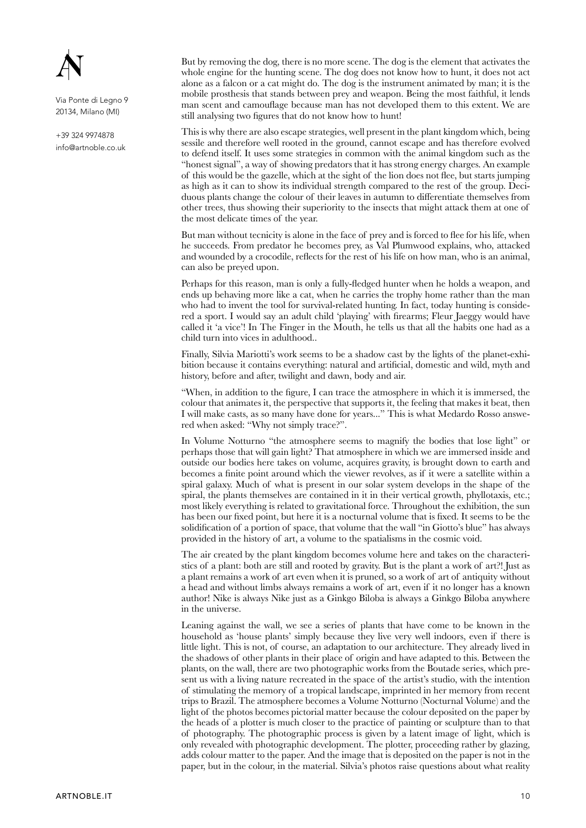

+39 324 9974878 info@artnoble.co.uk But by removing the dog, there is no more scene. The dog is the element that activates the whole engine for the hunting scene. The dog does not know how to hunt, it does not act alone as a falcon or a cat might do. The dog is the instrument animated by man; it is the mobile prosthesis that stands between prey and weapon. Being the most faithful, it lends man scent and camouflage because man has not developed them to this extent. We are still analysing two figures that do not know how to hunt!

This is why there are also escape strategies, well present in the plant kingdom which, being sessile and therefore well rooted in the ground, cannot escape and has therefore evolved to defend itself. It uses some strategies in common with the animal kingdom such as the "honest signal", a way of showing predators that it has strong energy charges. An example of this would be the gazelle, which at the sight of the lion does not flee, but starts jumping as high as it can to show its individual strength compared to the rest of the group. Deciduous plants change the colour of their leaves in autumn to differentiate themselves from other trees, thus showing their superiority to the insects that might attack them at one of the most delicate times of the year.

But man without tecnicity is alone in the face of prey and is forced to flee for his life, when he succeeds. From predator he becomes prey, as Val Plumwood explains, who, attacked and wounded by a crocodile, reflects for the rest of his life on how man, who is an animal, can also be preyed upon.

Perhaps for this reason, man is only a fully-fledged hunter when he holds a weapon, and ends up behaving more like a cat, when he carries the trophy home rather than the man who had to invent the tool for survival-related hunting. In fact, today hunting is considered a sport. I would say an adult child 'playing' with firearms; Fleur Jaeggy would have called it 'a vice'! In The Finger in the Mouth, he tells us that all the habits one had as a child turn into vices in adulthood..

Finally, Silvia Mariotti's work seems to be a shadow cast by the lights of the planet-exhibition because it contains everything: natural and artificial, domestic and wild, myth and history, before and after, twilight and dawn, body and air.

"When, in addition to the figure, I can trace the atmosphere in which it is immersed, the colour that animates it, the perspective that supports it, the feeling that makes it beat, then I will make casts, as so many have done for years..." This is what Medardo Rosso answered when asked: "Why not simply trace?".

In Volume Notturno "the atmosphere seems to magnify the bodies that lose light" or perhaps those that will gain light? That atmosphere in which we are immersed inside and outside our bodies here takes on volume, acquires gravity, is brought down to earth and becomes a finite point around which the viewer revolves, as if it were a satellite within a spiral galaxy. Much of what is present in our solar system develops in the shape of the spiral, the plants themselves are contained in it in their vertical growth, phyllotaxis, etc.; most likely everything is related to gravitational force. Throughout the exhibition, the sun has been our fixed point, but here it is a nocturnal volume that is fixed. It seems to be the solidification of a portion of space, that volume that the wall "in Giotto's blue" has always provided in the history of art, a volume to the spatialisms in the cosmic void.

The air created by the plant kingdom becomes volume here and takes on the characteristics of a plant: both are still and rooted by gravity. But is the plant a work of art?! Just as a plant remains a work of art even when it is pruned, so a work of art of antiquity without a head and without limbs always remains a work of art, even if it no longer has a known author! Nike is always Nike just as a Ginkgo Biloba is always a Ginkgo Biloba anywhere in the universe.

Leaning against the wall, we see a series of plants that have come to be known in the household as 'house plants' simply because they live very well indoors, even if there is little light. This is not, of course, an adaptation to our architecture. They already lived in the shadows of other plants in their place of origin and have adapted to this. Between the plants, on the wall, there are two photographic works from the Boutade series, which pre sent us with a living nature recreated in the space of the artist's studio, with the intention of stimulating the memory of a tropical landscape, imprinted in her memory from recent trips to Brazil. The atmosphere becomes a Volume Notturno (Nocturnal Volume) and the light of the photos becomes pictorial matter because the colour deposited on the paper by the heads of a plotter is much closer to the practice of painting or sculpture than to that of photography. The photographic process is given by a latent image of light, which is only revealed with photographic development. The plotter, proceeding rather by glazing, adds colour matter to the paper. And the image that is deposited on the paper is not in the paper, but in the colour, in the material. Silvia's photos raise questions about what reality